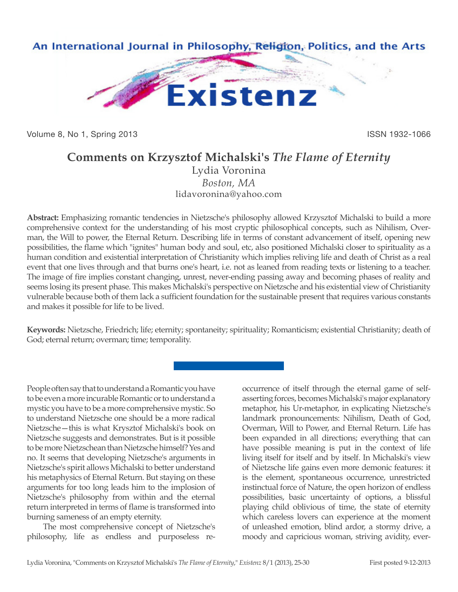

Volume 8, No 1, Spring 2013 **ISSN 1932-1066** ISSN 1932-1066

## **Comments on Krzysztof Michalski's** *The Flame of Eternity*

Lydia Voronina *Boston, MA* lidavoronina@yahoo.com

**Abstract:** Emphasizing romantic tendencies in Nietzsche's philosophy allowed Krzysztof Michalski to build a more comprehensive context for the understanding of his most cryptic philosophical concepts, such as Nihilism, Overman, the Will to power, the Eternal Return. Describing life in terms of constant advancement of itself, opening new possibilities, the flame which "ignites" human body and soul, etc, also positioned Michalski closer to spirituality as a human condition and existential interpretation of Christianity which implies reliving life and death of Christ as a real event that one lives through and that burns one's heart, i.e. not as leaned from reading texts or listening to a teacher. The image of fire implies constant changing, unrest, never-ending passing away and becoming phases of reality and seems losing its present phase. This makes Michalski's perspective on Nietzsche and his existential view of Christianity vulnerable because both of them lack a sufficient foundation for the sustainable present that requires various constants and makes it possible for life to be lived.

**Keywords:** Nietzsche, Friedrich; life; eternity; spontaneity; spirituality; Romanticism; existential Christianity; death of God; eternal return; overman; time; temporality.

People often say that to understand a Romantic you have to be even a more incurable Romantic or to understand a mystic you have to be a more comprehensive mystic. So to understand Nietzsche one should be a more radical Nietzsche—this is what Krysztof Michalski's book on Nietzsche suggests and demonstrates. But is it possible to be more Nietzschean than Nietzsche himself? Yes and no. It seems that developing Nietzsche's arguments in Nietzsche's spirit allows Michalski to better understand his metaphysics of Eternal Return. But staying on these arguments for too long leads him to the implosion of Nietzsche's philosophy from within and the eternal return interpreted in terms of flame is transformed into burning sameness of an empty eternity.

The most comprehensive concept of Nietzsche's philosophy, life as endless and purposeless reoccurrence of itself through the eternal game of selfasserting forces, becomes Michalski's major explanatory metaphor, his Ur-metaphor, in explicating Nietzsche's landmark pronouncements: Nihilism, Death of God, Overman, Will to Power, and Eternal Return. Life has been expanded in all directions; everything that can have possible meaning is put in the context of life living itself for itself and by itself. In Michalski's view of Nietzsche life gains even more demonic features: it is the element, spontaneous occurrence, unrestricted instinctual force of Nature, the open horizon of endless possibilities, basic uncertainty of options, a blissful playing child oblivious of time, the state of eternity which careless lovers can experience at the moment of unleashed emotion, blind ardor, a stormy drive, a moody and capricious woman, striving avidity, ever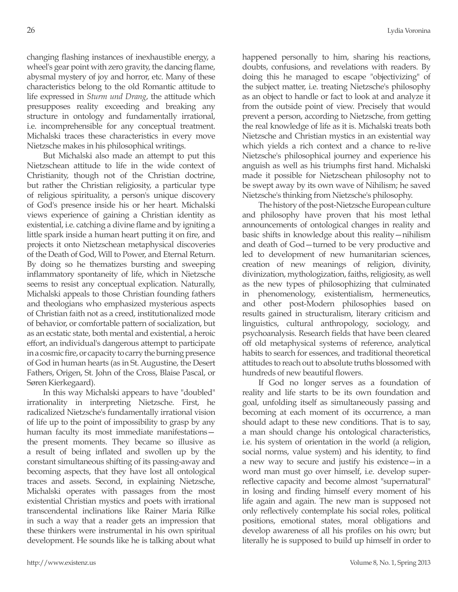changing flashing instances of inexhaustible energy, a wheel's gear point with zero gravity, the dancing flame, abysmal mystery of joy and horror, etc. Many of these characteristics belong to the old Romantic attitude to life expressed in *Sturm und Drang*, the attitude which presupposes reality exceeding and breaking any structure in ontology and fundamentally irrational, i.e. incomprehensible for any conceptual treatment. Michalski traces these characteristics in every move Nietzsche makes in his philosophical writings.

But Michalski also made an attempt to put this Nietzschean attitude to life in the wide context of Christianity, though not of the Christian doctrine, but rather the Christian religiosity, a particular type of religious spirituality, a person's unique discovery of God's presence inside his or her heart. Michalski views experience of gaining a Christian identity as existential, i.e. catching a divine flame and by igniting a little spark inside a human heart putting it on fire, and projects it onto Nietzschean metaphysical discoveries of the Death of God, Will to Power, and Eternal Return. By doing so he thematizes bursting and sweeping inflammatory spontaneity of life, which in Nietzsche seems to resist any conceptual explication. Naturally, Michalski appeals to those Christian founding fathers and theologians who emphasized mysterious aspects of Christian faith not as a creed, institutionalized mode of behavior, or comfortable pattern of socialization, but as an ecstatic state, both mental and existential, a heroic effort, an individual's dangerous attempt to participate in a cosmic fire, or capacity to carry the burning presence of God in human hearts (as in St. Augustine, the Desert Fathers, Origen, St. John of the Cross, Blaise Pascal, or Søren Kierkegaard).

In this way Michalski appears to have "doubled" irrationality in interpreting Nietzsche. First, he radicalized Nietzsche's fundamentally irrational vision of life up to the point of impossibility to grasp by any human faculty its most immediate manifestations the present moments. They became so illusive as a result of being inflated and swollen up by the constant simultaneous shifting of its passing-away and becoming aspects, that they have lost all ontological traces and assets. Second, in explaining Nietzsche, Michalski operates with passages from the most existential Christian mystics and poets with irrational transcendental inclinations like Rainer Maria Rilke in such a way that a reader gets an impression that these thinkers were instrumental in his own spiritual development. He sounds like he is talking about what happened personally to him, sharing his reactions, doubts, confusions, and revelations with readers. By doing this he managed to escape "objectivizing" of the subject matter, i.e. treating Nietzsche's philosophy as an object to handle or fact to look at and analyze it from the outside point of view. Precisely that would prevent a person, according to Nietzsche, from getting the real knowledge of life as it is. Michalski treats both Nietzsche and Christian mystics in an existential way which yields a rich context and a chance to re-live Nietzsche's philosophical journey and experience his anguish as well as his triumphs first hand. Michalski made it possible for Nietzschean philosophy not to be swept away by its own wave of Nihilism; he saved Nietzsche's thinking from Nietzsche's philosophy.

The history of the post-Nietzsche European culture and philosophy have proven that his most lethal announcements of ontological changes in reality and basic shifts in knowledge about this reality—nihilism and death of God—turned to be very productive and led to development of new humanitarian sciences, creation of new meanings of religion, divinity, divinization, mythologization, faiths, religiosity, as well as the new types of philosophizing that culminated in phenomenology, existentialism, hermeneutics, and other post-Modern philosophies based on results gained in structuralism, literary criticism and linguistics, cultural anthropology, sociology, and psychoanalysis. Research fields that have been cleared off old metaphysical systems of reference, analytical habits to search for essences, and traditional theoretical attitudes to reach out to absolute truths blossomed with hundreds of new beautiful flowers.

If God no longer serves as a foundation of reality and life starts to be its own foundation and goal, unfolding itself as simultaneously passing and becoming at each moment of its occurrence, a man should adapt to these new conditions. That is to say, a man should change his ontological characteristics, i.e. his system of orientation in the world (a religion, social norms, value system) and his identity, to find a new way to secure and justify his existence—in a word man must go over himself, i.e. develop superreflective capacity and become almost "supernatural" in losing and finding himself every moment of his life again and again. The new man is supposed not only reflectively contemplate his social roles, political positions, emotional states, moral obligations and develop awareness of all his profiles on his own; but literally he is supposed to build up himself in order to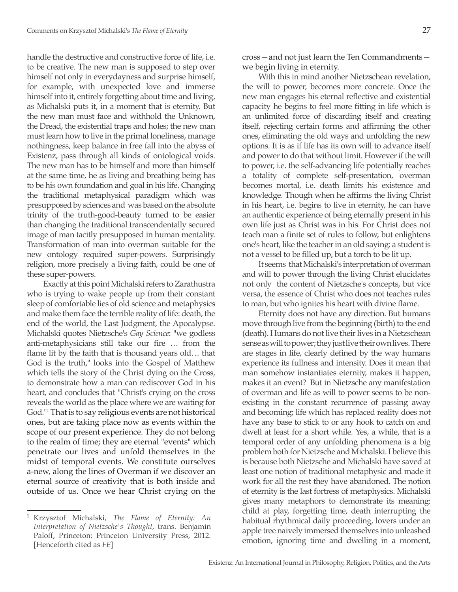handle the destructive and constructive force of life, i.e. to be creative. The new man is supposed to step over himself not only in everydayness and surprise himself, for example, with unexpected love and immerse himself into it, entirely forgetting about time and living, as Michalski puts it, in a moment that is eternity. But the new man must face and withhold the Unknown, the Dread, the existential traps and holes; the new man must learn how to live in the primal loneliness, manage nothingness, keep balance in free fall into the abyss of Existenz, pass through all kinds of ontological voids. The new man has to be himself and more than himself at the same time, he as living and breathing being has to be his own foundation and goal in his life. Changing the traditional metaphysical paradigm which was presupposed by sciences and was based on the absolute trinity of the truth-good-beauty turned to be easier than changing the traditional transcendentally secured image of man tacitly presupposed in human mentality. Transformation of man into overman suitable for the new ontology required super-powers. Surprisingly religion, more precisely a living faith, could be one of these super-powers.

Exactly at this point Michalski refers to Zarathustra who is trying to wake people up from their constant sleep of comfortable lies of old science and metaphysics and make them face the terrible reality of life: death, the end of the world, the Last Judgment, the Apocalypse. Michalski quotes Nietzsche's *Gay Science*: "we godless anti-metaphysicians still take our fire … from the flame lit by the faith that is thousand years old… that God is the truth," looks into the Gospel of Matthew which tells the story of the Christ dying on the Cross, to demonstrate how a man can rediscover God in his heart, and concludes that "Christ's crying on the cross reveals the world as the place where we are waiting for God."<sup>1</sup> That is to say religious events are not historical ones, but are taking place now as events within the scope of our present experience. They do not belong to the realm of time; they are eternal "events" which penetrate our lives and unfold themselves in the midst of temporal events. We constitute ourselves a-new, along the lines of Overman if we discover an eternal source of creativity that is both inside and outside of us. Once we hear Christ crying on the

With this in mind another Nietzschean revelation, the will to power, becomes more concrete. Once the new man engages his eternal reflective and existential capacity he begins to feel more fitting in life which is an unlimited force of discarding itself and creating itself, rejecting certain forms and affirming the other ones, eliminating the old ways and unfolding the new options. It is as if life has its own will to advance itself and power to do that without limit. However if the will to power, i.e. the self-advancing life potentially reaches a totality of complete self-presentation, overman becomes mortal, i.e. death limits his existence and knowledge. Though when he affirms the living Christ in his heart, i.e. begins to live in eternity, he can have an authentic experience of being eternally present in his own life just as Christ was in his. For Christ does not teach man a finite set of rules to follow, but enlightens one's heart, like the teacher in an old saying: a student is not a vessel to be filled up, but a torch to be lit up.

It seems that Michalski's interpretation of overman and will to power through the living Christ elucidates not only the content of Nietzsche's concepts, but vice versa, the essence of Christ who does not teaches rules to man, but who ignites his heart with divine flame.

Eternity does not have any direction. But humans move through live from the beginning (birth) to the end (death). Humans do not live their lives in a Nietzschean sense as will to power; they just live their own lives. There are stages in life, clearly defined by the way humans experience its fullness and intensity. Does it mean that man somehow instantiates eternity, makes it happen, makes it an event? But in Nietzsche any manifestation of overman and life as will to power seems to be nonexisting in the constant recurrence of passing away and becoming; life which has replaced reality does not have any base to stick to or any hook to catch on and dwell at least for a short while. Yes, a while, that is a temporal order of any unfolding phenomena is a big problem both for Nietzsche and Michalski. I believe this is because both Nietzsche and Michalski have saved at least one notion of traditional metaphysic and made it work for all the rest they have abandoned. The notion of eternity is the last fortress of metaphysics. Michalski gives many metaphors to demonstrate its meaning: child at play, forgetting time, death interrupting the habitual rhythmical daily proceeding, lovers under an apple tree naively immersed themselves into unleashed emotion, ignoring time and dwelling in a moment,

<sup>1</sup> Krzysztof Michalski, *The Flame of Eternity: An Interpretation of Nietzsche's Thought*, trans. Benjamin Paloff, Princeton: Princeton University Press, 2012. [Henceforth cited as *FE*]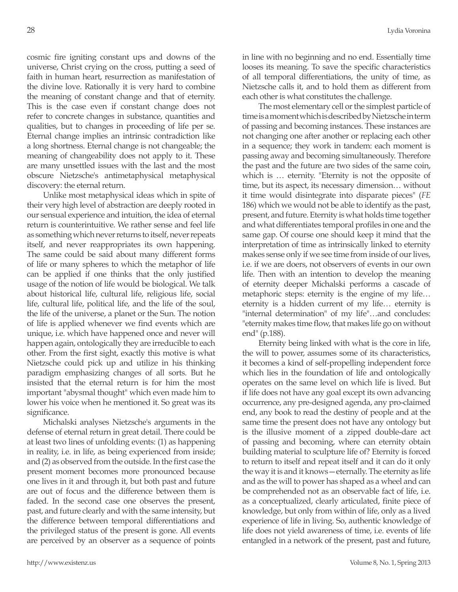cosmic fire igniting constant ups and downs of the universe, Christ crying on the cross, putting a seed of faith in human heart, resurrection as manifestation of the divine love. Rationally it is very hard to combine the meaning of constant change and that of eternity. This is the case even if constant change does not refer to concrete changes in substance, quantities and qualities, but to changes in proceeding of life per se. Eternal change implies an intrinsic contradiction like a long shortness. Eternal change is not changeable; the meaning of changeability does not apply to it. These are many unsettled issues with the last and the most obscure Nietzsche's antimetaphysical metaphysical discovery: the eternal return.

Unlike most metaphysical ideas which in spite of their very high level of abstraction are deeply rooted in our sensual experience and intuition, the idea of eternal return is counterintuitive. We rather sense and feel life as something which never returns to itself, never repeats itself, and never reappropriates its own happening. The same could be said about many different forms of life or many spheres to which the metaphor of life can be applied if one thinks that the only justified usage of the notion of life would be biological. We talk about historical life, cultural life, religious life, social life, cultural life, political life, and the life of the soul, the life of the universe, a planet or the Sun. The notion of life is applied whenever we find events which are unique, i.e. which have happened once and never will happen again, ontologically they are irreducible to each other. From the first sight, exactly this motive is what Nietzsche could pick up and utilize in his thinking paradigm emphasizing changes of all sorts. But he insisted that the eternal return is for him the most important "abysmal thought" which even made him to lower his voice when he mentioned it. So great was its significance.

Michalski analyses Nietzsche's arguments in the defense of eternal return in great detail. There could be at least two lines of unfolding events: (1) as happening in reality, i.e. in life, as being experienced from inside; and (2) as observed from the outside. In the first case the present moment becomes more pronounced because one lives in it and through it, but both past and future are out of focus and the difference between them is faded. In the second case one observes the present, past, and future clearly and with the same intensity, but the difference between temporal differentiations and the privileged status of the present is gone. All events are perceived by an observer as a sequence of points in line with no beginning and no end. Essentially time looses its meaning. To save the specific characteristics of all temporal differentiations, the unity of time, as Nietzsche calls it, and to hold them as different from each other is what constitutes the challenge.

The most elementary cell or the simplest particle of time is a moment which is described by Nietzsche in term of passing and becoming instances. These instances are not changing one after another or replacing each other in a sequence; they work in tandem: each moment is passing away and becoming simultaneously. Therefore the past and the future are two sides of the same coin, which is … eternity. "Eternity is not the opposite of time, but its aspect, its necessary dimension… without it time would disintegrate into disparate pieces" (*FE* 186) which we would not be able to identify as the past, present, and future. Eternity is what holds time together and what differentiates temporal profiles in one and the same gap. Of course one should keep it mind that the interpretation of time as intrinsically linked to eternity makes sense only if we see time from inside of our lives, i.e. if we are doers, not observers of events in our own life. Then with an intention to develop the meaning of eternity deeper Michalski performs a cascade of metaphoric steps: eternity is the engine of my life… eternity is a hidden current of my life… eternity is "internal determination" of my life"…and concludes: "eternity makes time flow, that makes life go on without end" (p.188).

Eternity being linked with what is the core in life, the will to power, assumes some of its characteristics, it becomes a kind of self-propelling independent force which lies in the foundation of life and ontologically operates on the same level on which life is lived. But if life does not have any goal except its own advancing occurrence, any pre-designed agenda, any pro-claimed end, any book to read the destiny of people and at the same time the present does not have any ontology but is the illusive moment of a zipped double-dare act of passing and becoming, where can eternity obtain building material to sculpture life of? Eternity is forced to return to itself and repeat itself and it can do it only the way it is and it knows—eternally. The eternity as life and as the will to power has shaped as a wheel and can be comprehended not as an observable fact of life, i.e. as a conceptualized, clearly articulated, finite piece of knowledge, but only from within of life, only as a lived experience of life in living. So, authentic knowledge of life does not yield awareness of time, i.e. events of life entangled in a network of the present, past and future,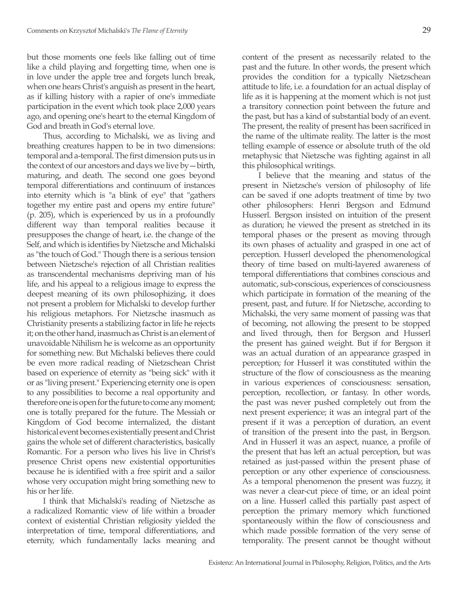but those moments one feels like falling out of time like a child playing and forgetting time, when one is in love under the apple tree and forgets lunch break, when one hears Christ's anguish as present in the heart, as if killing history with a rapier of one's immediate participation in the event which took place 2,000 years ago, and opening one's heart to the eternal Kingdom of God and breath in God's eternal love.

Thus, according to Michalski, we as living and breathing creatures happen to be in two dimensions: temporal and a-temporal. The first dimension puts us in the context of our ancestors and days we live by—birth, maturing, and death. The second one goes beyond temporal differentiations and continuum of instances into eternity which is "a blink of eye" that "gathers together my entire past and opens my entire future" (p. 205), which is experienced by us in a profoundly different way than temporal realities because it presupposes the change of heart, i.e. the change of the Self, and which is identifies by Nietzsche and Michalski as "the touch of God." Though there is a serious tension between Nietzsche's rejection of all Christian realities as transcendental mechanisms depriving man of his life, and his appeal to a religious image to express the deepest meaning of its own philosophizing, it does not present a problem for Michalski to develop further his religious metaphors. For Nietzsche inasmuch as Christianity presents a stabilizing factor in life he rejects it; on the other hand, inasmuch as Christ is an element of unavoidable Nihilism he is welcome as an opportunity for something new. But Michalski believes there could be even more radical reading of Nietzschean Christ based on experience of eternity as "being sick" with it or as "living present." Experiencing eternity one is open to any possibilities to become a real opportunity and therefore one is open for the future to come any moment; one is totally prepared for the future. The Messiah or Kingdom of God become internalized, the distant historical event becomes existentially present and Christ gains the whole set of different characteristics, basically Romantic. For a person who lives his live in Christ's presence Christ opens new existential opportunities because he is identified with a free spirit and a sailor whose very occupation might bring something new to his or her life.

I think that Michalski's reading of Nietzsche as a radicalized Romantic view of life within a broader context of existential Christian religiosity yielded the interpretation of time, temporal differentiations, and eternity, which fundamentally lacks meaning and

content of the present as necessarily related to the past and the future. In other words, the present which provides the condition for a typically Nietzschean attitude to life, i.e. a foundation for an actual display of life as it is happening at the moment which is not just a transitory connection point between the future and the past, but has a kind of substantial body of an event. The present, the reality of present has been sacrificed in the name of the ultimate reality. The latter is the most telling example of essence or absolute truth of the old metaphysic that Nietzsche was fighting against in all this philosophical writings.

I believe that the meaning and status of the present in Nietzsche's version of philosophy of life can be saved if one adopts treatment of time by two other philosophers: Henri Bergson and Edmund Husserl. Bergson insisted on intuition of the present as duration; he viewed the present as stretched in its temporal phases or the present as moving through its own phases of actuality and grasped in one act of perception. Husserl developed the phenomenological theory of time based on multi-layered awareness of temporal differentiations that combines conscious and automatic, sub-conscious, experiences of consciousness which participate in formation of the meaning of the present, past, and future. If for Nietzsche, according to Michalski, the very same moment of passing was that of becoming, not allowing the present to be stopped and lived through, then for Bergson and Husserl the present has gained weight. But if for Bergson it was an actual duration of an appearance grasped in perception; for Husserl it was constituted within the structure of the flow of consciousness as the meaning in various experiences of consciousness: sensation, perception, recollection, or fantasy. In other words, the past was never pushed completely out from the next present experience; it was an integral part of the present if it was a perception of duration, an event of transition of the present into the past, in Bergson. And in Husserl it was an aspect, nuance, a profile of the present that has left an actual perception, but was retained as just-passed within the present phase of perception or any other experience of consciousness. As a temporal phenomenon the present was fuzzy, it was never a clear-cut piece of time, or an ideal point on a line. Husserl called this partially past aspect of perception the primary memory which functioned spontaneously within the flow of consciousness and which made possible formation of the very sense of temporality. The present cannot be thought without